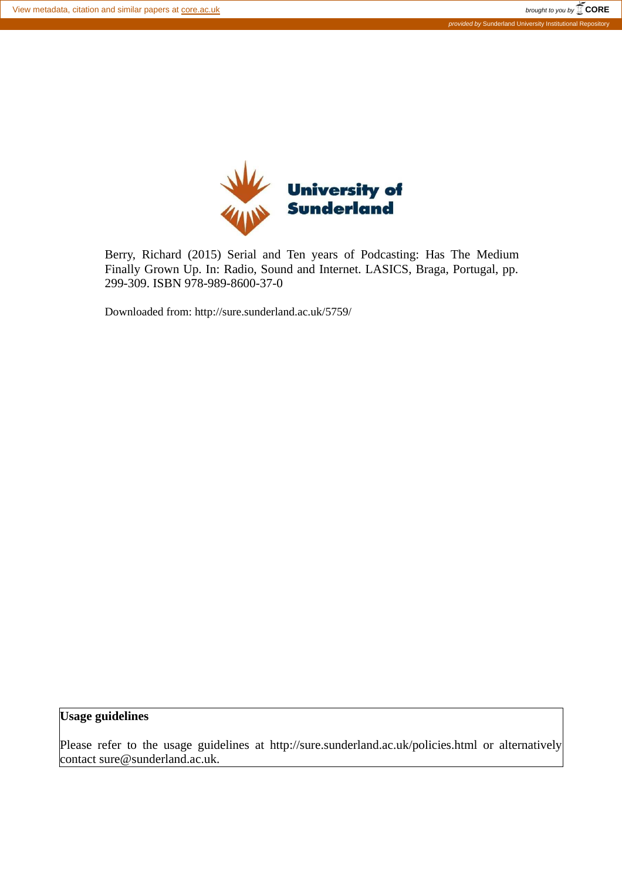

Berry, Richard (2015) Serial and Ten years of Podcasting: Has The Medium Finally Grown Up. In: Radio, Sound and Internet. LASICS, Braga, Portugal, pp. 299-309. ISBN 978-989-8600-37-0

Downloaded from: http://sure.sunderland.ac.uk/5759/

# **Usage guidelines**

Please refer to the usage guidelines at http://sure.sunderland.ac.uk/policies.html or alternatively contact sure@sunderland.ac.uk.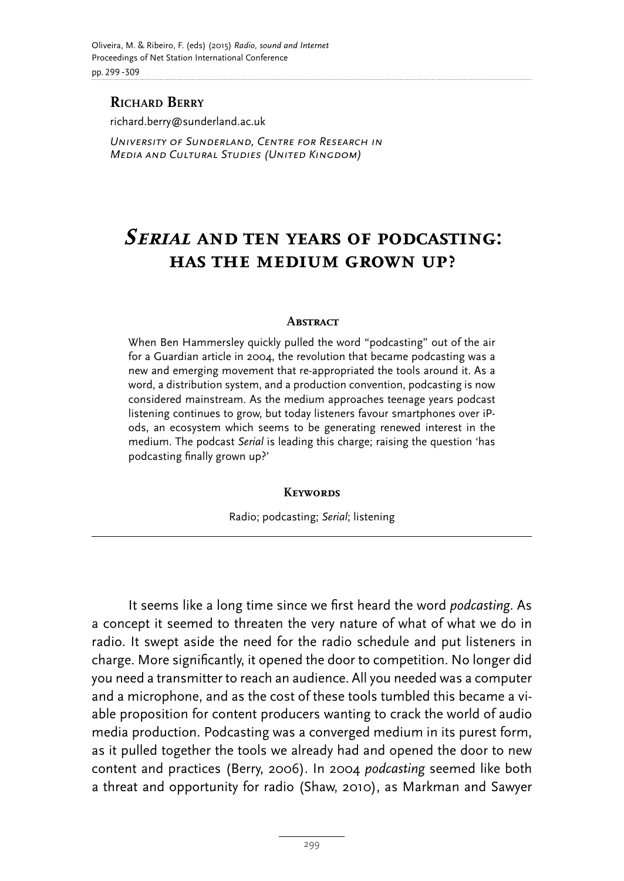## **RICHARD BERRY**

richard.berry@sunderland.ac.uk

*University of Sunderland, Centre for Research in Media and Cultural Studies (United Kingdom)*

# **Serial and ten years of podcasting: has the medium grown up?**

#### **ABSTRACT**

When Ben Hammersley quickly pulled the word "podcasting" out of the air for a Guardian article in 2004, the revolution that became podcasting was a new and emerging movement that re-appropriated the tools around it. As a word, a distribution system, and a production convention, podcasting is now considered mainstream. As the medium approaches teenage years podcast listening continues to grow, but today listeners favour smartphones over iPods, an ecosystem which seems to be generating renewed interest in the medium. The podcast *Serial* is leading this charge; raising the question 'has podcasting finally grown up?'

#### **Keywords**

Radio; podcasting; *Serial*; listening

It seems like a long time since we first heard the word *podcasting*. As a concept it seemed to threaten the very nature of what of what we do in radio. It swept aside the need for the radio schedule and put listeners in charge. More significantly, it opened the door to competition. No longer did you need a transmitter to reach an audience. All you needed was a computer and a microphone, and as the cost of these tools tumbled this became a viable proposition for content producers wanting to crack the world of audio media production. Podcasting was a converged medium in its purest form, as it pulled together the tools we already had and opened the door to new content and practices (Berry, 2006). In 2004 *podcasting* seemed like both a threat and opportunity for radio (Shaw, 2010), as Markman and Sawyer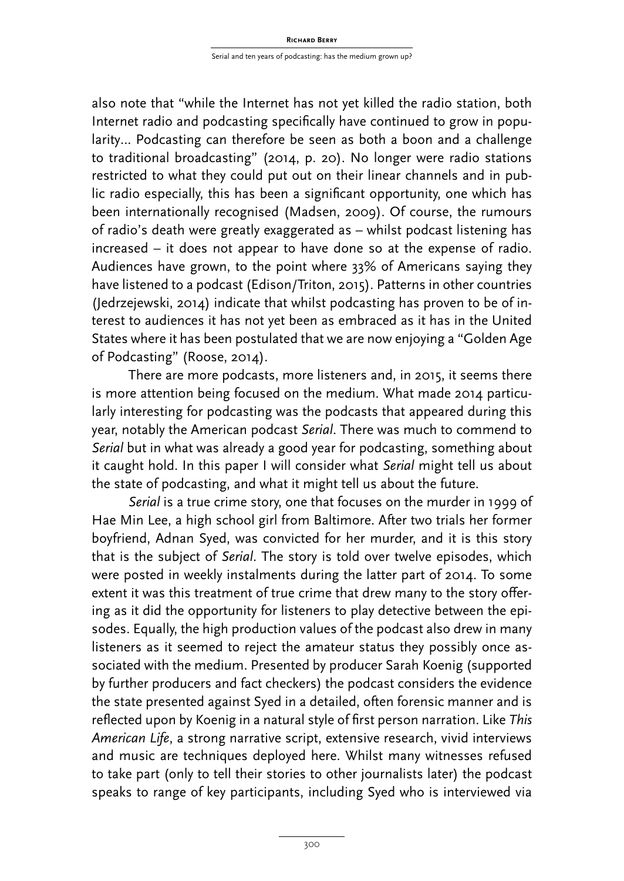also note that "while the Internet has not yet killed the radio station, both Internet radio and podcasting specifically have continued to grow in popularity… Podcasting can therefore be seen as both a boon and a challenge to traditional broadcasting" (2014, p. 20). No longer were radio stations restricted to what they could put out on their linear channels and in public radio especially, this has been a significant opportunity, one which has been internationally recognised (Madsen, 2009). Of course, the rumours of radio's death were greatly exaggerated as – whilst podcast listening has increased – it does not appear to have done so at the expense of radio. Audiences have grown, to the point where 33% of Americans saying they have listened to a podcast (Edison/Triton, 2015). Patterns in other countries (Jedrzejewski, 2014) indicate that whilst podcasting has proven to be of interest to audiences it has not yet been as embraced as it has in the United States where it has been postulated that we are now enjoying a "Golden Age of Podcasting" (Roose, 2014).

There are more podcasts, more listeners and, in 2015, it seems there is more attention being focused on the medium. What made 2014 particularly interesting for podcasting was the podcasts that appeared during this year, notably the American podcast *Serial*. There was much to commend to *Serial* but in what was already a good year for podcasting, something about it caught hold. In this paper I will consider what *Serial* might tell us about the state of podcasting, and what it might tell us about the future.

*Serial* is a true crime story, one that focuses on the murder in 1999 of Hae Min Lee, a high school girl from Baltimore. After two trials her former boyfriend, Adnan Syed, was convicted for her murder, and it is this story that is the subject of *Serial*. The story is told over twelve episodes, which were posted in weekly instalments during the latter part of 2014. To some extent it was this treatment of true crime that drew many to the story ofering as it did the opportunity for listeners to play detective between the episodes. Equally, the high production values of the podcast also drew in many listeners as it seemed to reject the amateur status they possibly once associated with the medium. Presented by producer Sarah Koenig (supported by further producers and fact checkers) the podcast considers the evidence the state presented against Syed in a detailed, often forensic manner and is reflected upon by Koenig in a natural style of first person narration. Like This *American Life*, a strong narrative script, extensive research, vivid interviews and music are techniques deployed here. Whilst many witnesses refused to take part (only to tell their stories to other journalists later) the podcast speaks to range of key participants, including Syed who is interviewed via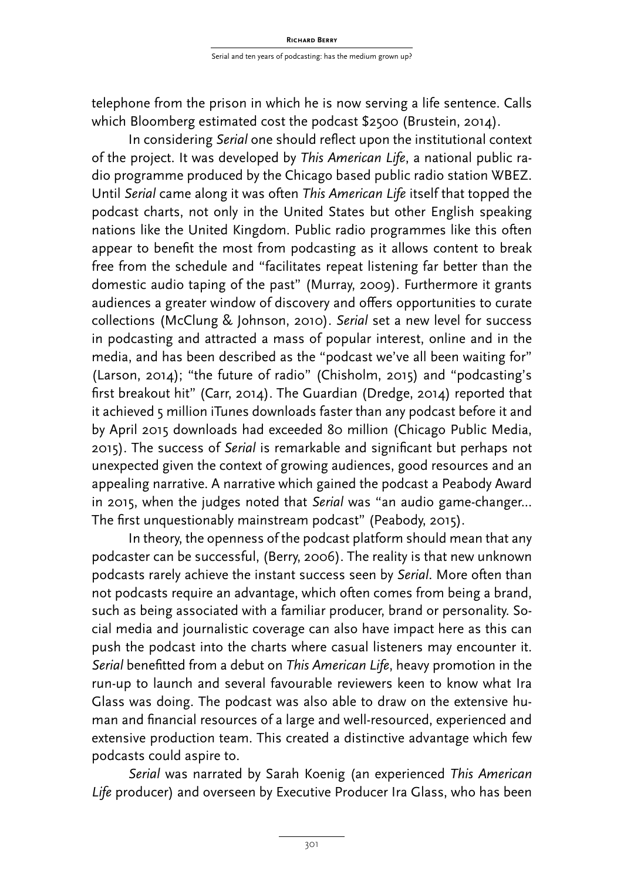telephone from the prison in which he is now serving a life sentence. Calls which Bloomberg estimated cost the podcast \$2500 (Brustein, 2014).

In considering *Serial* one should reflect upon the institutional context of the project. It was developed by *This American Life*, a national public radio programme produced by the Chicago based public radio station WBEZ. Until *Serial* came along it was often *This American Life* itself that topped the podcast charts, not only in the United States but other English speaking nations like the United Kingdom. Public radio programmes like this often appear to benefit the most from podcasting as it allows content to break free from the schedule and "facilitates repeat listening far better than the domestic audio taping of the past" (Murray, 2009). Furthermore it grants audiences a greater window of discovery and offers opportunities to curate collections (McClung & Johnson, 2010). *Serial* set a new level for success in podcasting and attracted a mass of popular interest, online and in the media, and has been described as the "podcast we've all been waiting for" (Larson, 2014); "the future of radio" (Chisholm, 2015) and "podcasting's first breakout hit" (Carr, 2014). The Guardian (Dredge, 2014) reported that it achieved 5 million iTunes downloads faster than any podcast before it and by April 2015 downloads had exceeded 80 million (Chicago Public Media, 2015). The success of *Serial* is remarkable and signiicant but perhaps not unexpected given the context of growing audiences, good resources and an appealing narrative. A narrative which gained the podcast a Peabody Award in 2015, when the judges noted that *Serial* was "an audio game-changer... The first unquestionably mainstream podcast" (Peabody, 2015).

In theory, the openness of the podcast platform should mean that any podcaster can be successful, (Berry, 2006). The reality is that new unknown podcasts rarely achieve the instant success seen by *Serial*. More often than not podcasts require an advantage, which often comes from being a brand, such as being associated with a familiar producer, brand or personality. Social media and journalistic coverage can also have impact here as this can push the podcast into the charts where casual listeners may encounter it. *Serial* benefitted from a debut on *This American Life*, heavy promotion in the run-up to launch and several favourable reviewers keen to know what Ira Glass was doing. The podcast was also able to draw on the extensive human and financial resources of a large and well-resourced, experienced and extensive production team. This created a distinctive advantage which few podcasts could aspire to.

*Serial* was narrated by Sarah Koenig (an experienced *This American Life* producer) and overseen by Executive Producer Ira Glass, who has been

301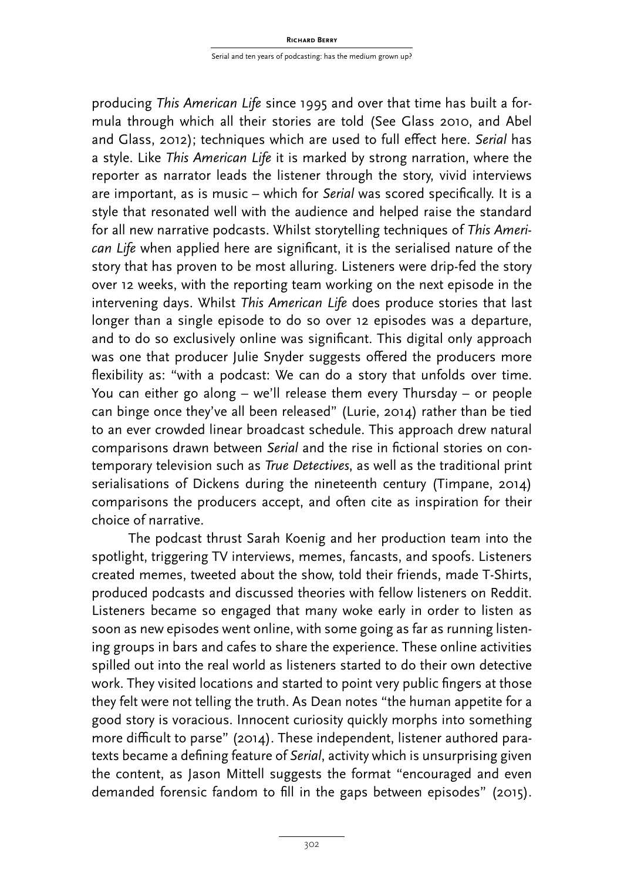producing *This American Life* since 1995 and over that time has built a formula through which all their stories are told (See Glass 2010, and Abel and Glass, 2012); techniques which are used to full efect here. *Serial* has a style. Like *This American Life* it is marked by strong narration, where the reporter as narrator leads the listener through the story, vivid interviews are important, as is music – which for *Serial* was scored specifically. It is a style that resonated well with the audience and helped raise the standard for all new narrative podcasts. Whilst storytelling techniques of *This American Life* when applied here are signiicant, it is the serialised nature of the story that has proven to be most alluring. Listeners were drip-fed the story over 12 weeks, with the reporting team working on the next episode in the intervening days. Whilst *This American Life* does produce stories that last longer than a single episode to do so over 12 episodes was a departure, and to do so exclusively online was significant. This digital only approach was one that producer Julie Snyder suggests offered the producers more flexibility as: "with a podcast: We can do a story that unfolds over time. You can either go along – we'll release them every Thursday – or people can binge once they've all been released" (Lurie, 2014) rather than be tied to an ever crowded linear broadcast schedule. This approach drew natural comparisons drawn between *Serial* and the rise in fictional stories on contemporary television such as *True Detectives*, as well as the traditional print serialisations of Dickens during the nineteenth century (Timpane, 2014) comparisons the producers accept, and often cite as inspiration for their choice of narrative.

The podcast thrust Sarah Koenig and her production team into the spotlight, triggering TV interviews, memes, fancasts, and spoofs. Listeners created memes, tweeted about the show, told their friends, made T-Shirts, produced podcasts and discussed theories with fellow listeners on Reddit. Listeners became so engaged that many woke early in order to listen as soon as new episodes went online, with some going as far as running listening groups in bars and cafes to share the experience. These online activities spilled out into the real world as listeners started to do their own detective work. They visited locations and started to point very public fingers at those they felt were not telling the truth. As Dean notes "the human appetite for a good story is voracious. Innocent curiosity quickly morphs into something more difficult to parse" (2014). These independent, listener authored paratexts became a defining feature of *Serial*, activity which is unsurprising given the content, as Jason Mittell suggests the format "encouraged and even demanded forensic fandom to fill in the gaps between episodes" (2015).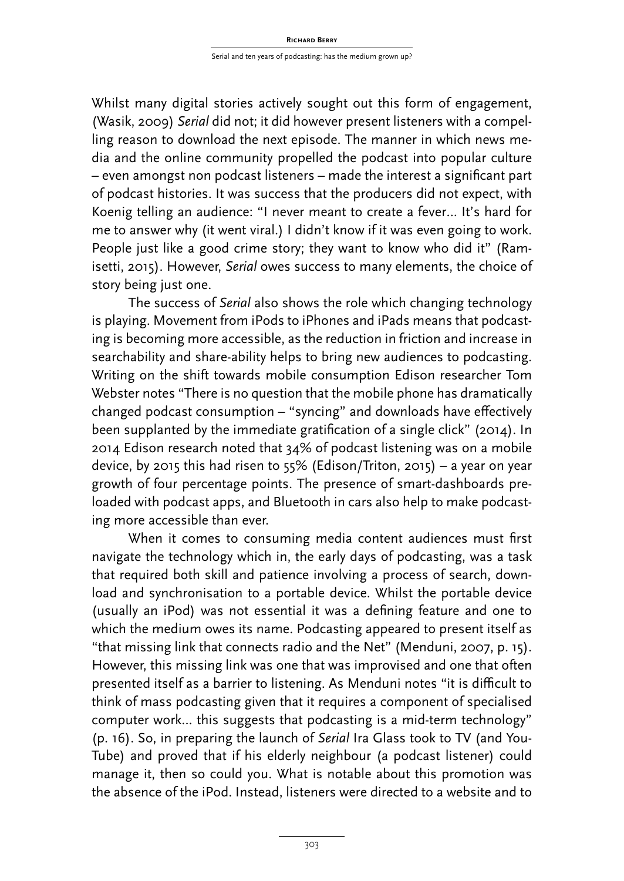Whilst many digital stories actively sought out this form of engagement, (Wasik, 2009) *Serial* did not; it did however present listeners with a compelling reason to download the next episode. The manner in which news media and the online community propelled the podcast into popular culture – even amongst non podcast listeners – made the interest a signiicant part of podcast histories. It was success that the producers did not expect, with Koenig telling an audience: "I never meant to create a fever… It's hard for me to answer why (it went viral.) I didn't know if it was even going to work. People just like a good crime story; they want to know who did it" (Ramisetti, 2015). However, *Serial* owes success to many elements, the choice of story being just one.

The success of *Serial* also shows the role which changing technology is playing. Movement from iPods to iPhones and iPads means that podcasting is becoming more accessible, as the reduction in friction and increase in searchability and share-ability helps to bring new audiences to podcasting. Writing on the shift towards mobile consumption Edison researcher Tom Webster notes "There is no question that the mobile phone has dramatically changed podcast consumption – "syncing" and downloads have efectively been supplanted by the immediate gratification of a single click" (2014). In 2014 Edison research noted that 34% of podcast listening was on a mobile device, by 2015 this had risen to 55% (Edison/Triton, 2015) – a year on year growth of four percentage points. The presence of smart-dashboards preloaded with podcast apps, and Bluetooth in cars also help to make podcasting more accessible than ever.

When it comes to consuming media content audiences must first navigate the technology which in, the early days of podcasting, was a task that required both skill and patience involving a process of search, download and synchronisation to a portable device. Whilst the portable device (usually an iPod) was not essential it was a defining feature and one to which the medium owes its name. Podcasting appeared to present itself as "that missing link that connects radio and the Net" (Menduni, 2007, p. 15). However, this missing link was one that was improvised and one that often presented itself as a barrier to listening. As Menduni notes "it is difficult to think of mass podcasting given that it requires a component of specialised computer work... this suggests that podcasting is a mid-term technology" (p. 16). So, in preparing the launch of *Serial* Ira Glass took to TV (and You-Tube) and proved that if his elderly neighbour (a podcast listener) could manage it, then so could you. What is notable about this promotion was the absence of the iPod. Instead, listeners were directed to a website and to

303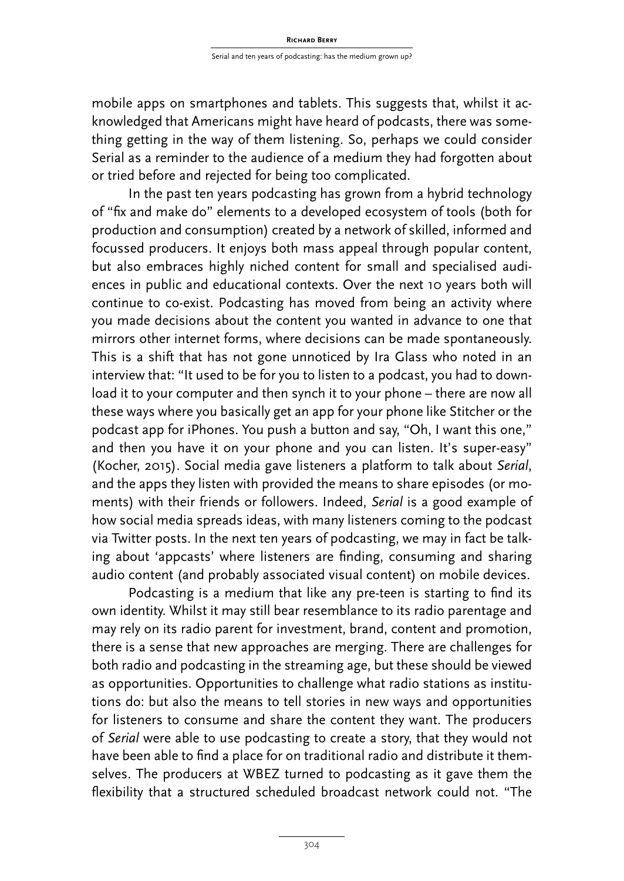mobile apps on smartphones and tablets. This suggests that, whilst it acknowledged that Americans might have heard of podcasts, there was something getting in the way of them listening. So, perhaps we could consider Serial as a reminder to the audience of a medium they had forgotten about or tried before and rejected for being too complicated.

In the past ten years podcasting has grown from a hybrid technology of "fix and make do" elements to a developed ecosystem of tools (both for production and consumption) created by a network of skilled, informed and focussed producers. It enjoys both mass appeal through popular content, but also embraces highly niched content for small and specialised audiences in public and educational contexts. Over the next 10 years both will continue to co-exist. Podcasting has moved from being an activity where you made decisions about the content you wanted in advance to one that mirrors other internet forms, where decisions can be made spontaneously. This is a shift that has not gone unnoticed by Ira Glass who noted in an interview that: "It used to be for you to listen to a podcast, you had to download it to your computer and then synch it to your phone – there are now all these ways where you basically get an app for your phone like Stitcher or the podcast app for iPhones. You push a button and say, "Oh, I want this one," and then you have it on your phone and you can listen. It's super-easy" (Kocher, 2015). Social media gave listeners a platform to talk about *Serial*, and the apps they listen with provided the means to share episodes (or moments) with their friends or followers. Indeed, *Serial* is a good example of how social media spreads ideas, with many listeners coming to the podcast via Twitter posts. In the next ten years of podcasting, we may in fact be talking about 'appcasts' where listeners are finding, consuming and sharing audio content (and probably associated visual content) on mobile devices.

Podcasting is a medium that like any pre-teen is starting to find its own identity. Whilst it may still bear resemblance to its radio parentage and may rely on its radio parent for investment, brand, content and promotion, there is a sense that new approaches are merging. There are challenges for both radio and podcasting in the streaming age, but these should be viewed as opportunities. Opportunities to challenge what radio stations as institutions do: but also the means to tell stories in new ways and opportunities for listeners to consume and share the content they want. The producers of *Serial* were able to use podcasting to create a story, that they would not have been able to find a place for on traditional radio and distribute it themselves. The producers at WBEZ turned to podcasting as it gave them the flexibility that a structured scheduled broadcast network could not. "The

304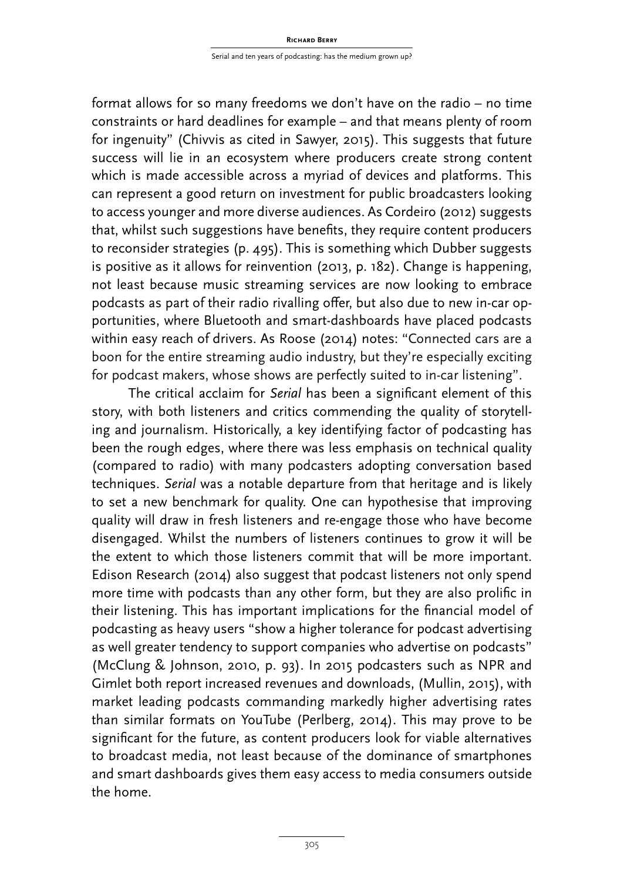format allows for so many freedoms we don't have on the radio – no time constraints or hard deadlines for example – and that means plenty of room for ingenuity" (Chivvis as cited in Sawyer, 2015). This suggests that future success will lie in an ecosystem where producers create strong content which is made accessible across a myriad of devices and platforms. This can represent a good return on investment for public broadcasters looking to access younger and more diverse audiences. As Cordeiro (2012) suggests that, whilst such suggestions have benefits, they require content producers to reconsider strategies (p. 495). This is something which Dubber suggests is positive as it allows for reinvention (2013, p. 182). Change is happening, not least because music streaming services are now looking to embrace podcasts as part of their radio rivalling offer, but also due to new in-car opportunities, where Bluetooth and smart-dashboards have placed podcasts within easy reach of drivers. As Roose (2014) notes: "Connected cars are a boon for the entire streaming audio industry, but they're especially exciting for podcast makers, whose shows are perfectly suited to in-car listening".

The critical acclaim for *Serial* has been a significant element of this story, with both listeners and critics commending the quality of storytelling and journalism. Historically, a key identifying factor of podcasting has been the rough edges, where there was less emphasis on technical quality (compared to radio) with many podcasters adopting conversation based techniques. *Serial* was a notable departure from that heritage and is likely to set a new benchmark for quality. One can hypothesise that improving quality will draw in fresh listeners and re-engage those who have become disengaged. Whilst the numbers of listeners continues to grow it will be the extent to which those listeners commit that will be more important. Edison Research (2014) also suggest that podcast listeners not only spend more time with podcasts than any other form, but they are also prolific in their listening. This has important implications for the financial model of podcasting as heavy users "show a higher tolerance for podcast advertising as well greater tendency to support companies who advertise on podcasts" (McClung & Johnson, 2010, p. 93). In 2015 podcasters such as NPR and Gimlet both report increased revenues and downloads, (Mullin, 2015), with market leading podcasts commanding markedly higher advertising rates than similar formats on YouTube (Perlberg, 2014). This may prove to be significant for the future, as content producers look for viable alternatives to broadcast media, not least because of the dominance of smartphones and smart dashboards gives them easy access to media consumers outside the home.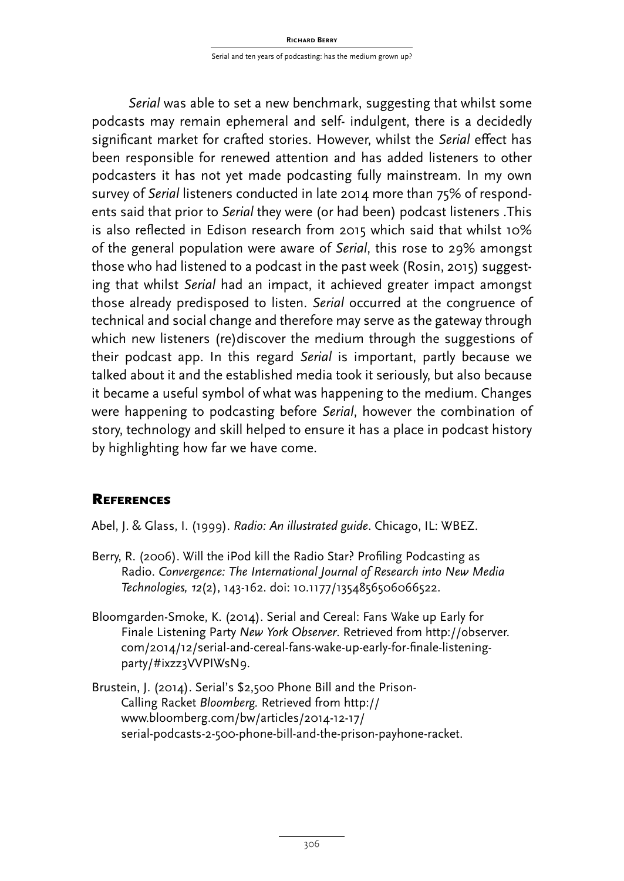*Serial* was able to set a new benchmark, suggesting that whilst some podcasts may remain ephemeral and self- indulgent, there is a decidedly significant market for crafted stories. However, whilst the *Serial* effect has been responsible for renewed attention and has added listeners to other podcasters it has not yet made podcasting fully mainstream. In my own survey of *Serial* listeners conducted in late 2014 more than 75% of respondents said that prior to *Serial* they were (or had been) podcast listeners .This is also reflected in Edison research from 2015 which said that whilst 10% of the general population were aware of *Serial*, this rose to 29% amongst those who had listened to a podcast in the past week (Rosin, 2015) suggesting that whilst *Serial* had an impact, it achieved greater impact amongst those already predisposed to listen. *Serial* occurred at the congruence of technical and social change and therefore may serve as the gateway through which new listeners (re)discover the medium through the suggestions of their podcast app. In this regard *Serial* is important, partly because we talked about it and the established media took it seriously, but also because it became a useful symbol of what was happening to the medium. Changes were happening to podcasting before *Serial*, however the combination of story, technology and skill helped to ensure it has a place in podcast history by highlighting how far we have come.

### **REFERENCES**

Abel, J. & Glass, I. (1999). *Radio: An illustrated guide*. Chicago, IL: WBEZ.

- Berry, R. (2006). Will the iPod kill the Radio Star? Profiling Podcasting as Radio. *Convergence: The International Journal of Research into New Media Technologies, 12*(2), 143-162. doi: 10.1177/1354856506066522.
- Bloomgarden-Smoke, K. (2014). Serial and Cereal: Fans Wake up Early for Finale Listening Party *New York Observer*. Retrieved from http://observer. com/2014/12/serial-and-cereal-fans-wake-up-early-for-finale-listeningparty/#ixzz3VVPIWsN9.
- Brustein, J. (2014). Serial's \$2,500 Phone Bill and the Prison-Calling Racket *Bloomberg.* Retrieved from http:// www.bloomberg.com/bw/articles/2014-12-17/ serial-podcasts-2-500-phone-bill-and-the-prison-payhone-racket.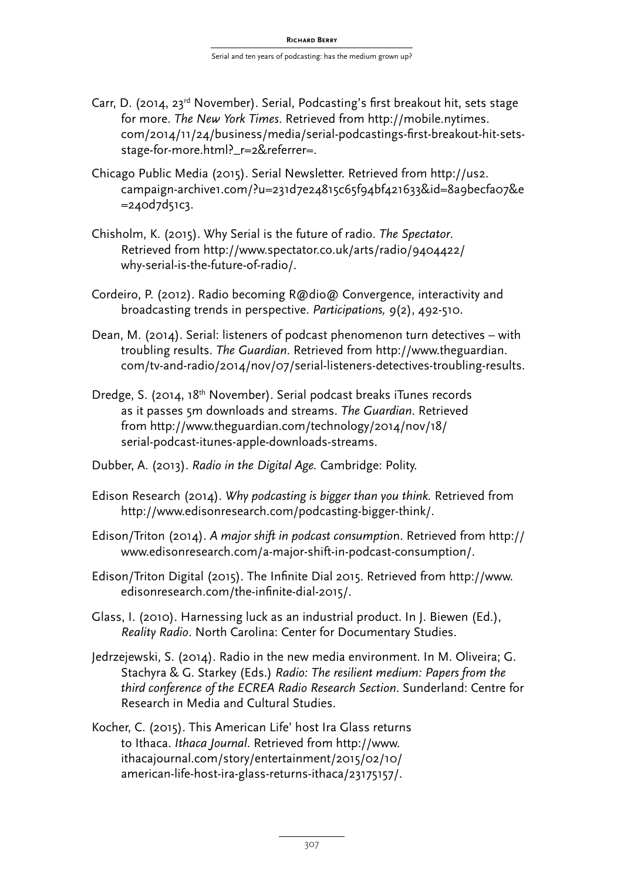- Carr, D. (2014, 23<sup>rd</sup> November). Serial, Podcasting's first breakout hit, sets stage for more. *The New York Times*. Retrieved from http://mobile.nytimes. com/2014/11/24/business/media/serial-podcastings-first-breakout-hit-setsstage-for-more.html?\_r=2&referrer=.
- Chicago Public Media (2015). Serial Newsletter. Retrieved from http://us2. campaign-archive1.com/?u=231d7e24815c65f94bf421633&id=8a9becfa07&e  $= 240d7d51c3.$
- Chisholm, K. (2015). Why Serial is the future of radio. *The Spectator*. Retrieved from http://www.spectator.co.uk/arts/radio/9404422/ why-serial-is-the-future-of-radio/.
- Cordeiro, P. (2012). Radio becoming R@dio@ Convergence, interactivity and broadcasting trends in perspective. *Participations, 9*(2), 492-510.
- Dean, M. (2014). Serial: listeners of podcast phenomenon turn detectives with troubling results. *The Guardian*. Retrieved from http://www.theguardian. com/tv-and-radio/2014/nov/07/serial-listeners-detectives-troubling-results.
- Dredge, S. (2014, 18th November). Serial podcast breaks iTunes records as it passes 5m downloads and streams. *The Guardian*. Retrieved from http://www.theguardian.com/technology/2014/nov/18/ serial-podcast-itunes-apple-downloads-streams.
- Dubber, A. (2013). *Radio in the Digital Age.* Cambridge: Polity.
- Edison Research (2014). *Why podcasting is bigger than you think.* Retrieved from http://www.edisonresearch.com/podcasting-bigger-think/.
- Edison/Triton (2014). *A major shift in podcast consumptio*n. Retrieved from http:// www.edisonresearch.com/a-major-shift-in-podcast-consumption/.
- Edison/Triton Digital (2015). The Infinite Dial 2015. Retrieved from http://www. edisonresearch.com/the-infinite-dial-2015/.
- Glass, I. (2010). Harnessing luck as an industrial product. In J. Biewen (Ed.), *Reality Radio*. North Carolina: Center for Documentary Studies.
- Jedrzejewski, S. (2014). Radio in the new media environment. In M. Oliveira; G. Stachyra & G. Starkey (Eds.) *Radio: The resilient medium: Papers from the third conference of the ECREA Radio Research Section*. Sunderland: Centre for Research in Media and Cultural Studies.
- Kocher, C. (2015). This American Life' host Ira Glass returns to Ithaca. *Ithaca Journal*. Retrieved from http://www. ithacajournal.com/story/entertainment/2015/02/10/ american-life-host-ira-glass-returns-ithaca/23175157/.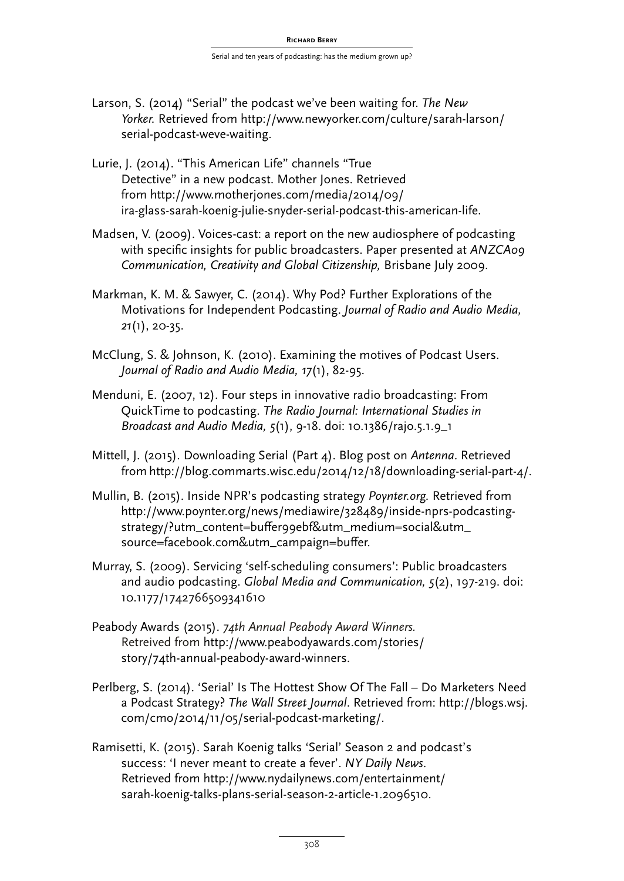- Larson, S. (2014) "Serial" the podcast we've been waiting for. *The New Yorker.* Retrieved from http://www.newyorker.com/culture/sarah-larson/ serial-podcast-weve-waiting.
- Lurie, J. (2014). "This American Life" channels "True Detective" in a new podcast. Mother Jones. Retrieved from http://www.motherjones.com/media/2014/09/ ira-glass-sarah-koenig-julie-snyder-serial-podcast-this-american-life.
- Madsen, V. (2009). Voices-cast: a report on the new audiosphere of podcasting with specific insights for public broadcasters. Paper presented at ANZCA09 *Communication, Creativity and Global Citizenship,* Brisbane July 2009.
- Markman, K. M. & Sawyer, C. (2014). Why Pod? Further Explorations of the Motivations for Independent Podcasting. *Journal of Radio and Audio Media, 21*(1), 20-35.
- McClung, S. & Johnson, K. (2010). Examining the motives of Podcast Users. *Journal of Radio and Audio Media, 17*(1), 82-95.
- Menduni, E. (2007, 12). Four steps in innovative radio broadcasting: From QuickTime to podcasting. *The Radio Journal: International Studies in Broadcast and Audio Media, 5*(1), 9-18. doi: 10.1386/rajo.5.1.9\_1
- Mittell, J. (2015). Downloading Serial (Part 4). Blog post on *Antenna*. Retrieved from http://blog.commarts.wisc.edu/2014/12/18/downloading-serial-part-4/.
- Mullin, B. (2015). Inside NPR's podcasting strategy *Poynter.org.* Retrieved from http://www.poynter.org/news/mediawire/328489/inside-nprs-podcastingstrategy/?utm\_content=bufer99ebf&utm\_medium=social&utm\_ source=facebook.com&utm\_campaign=bufer.
- Murray, S. (2009). Servicing 'self-scheduling consumers': Public broadcasters and audio podcasting. *Global Media and Communication, 5*(2), 197-219. doi: 10.1177/1742766509341610
- Peabody Awards (2015). *74th Annual Peabody Award Winners.*  Retreived from http://www.peabodyawards.com/stories/ story/74th-annual-peabody-award-winners.
- Perlberg, S. (2014). 'Serial' Is The Hottest Show Of The Fall Do Marketers Need a Podcast Strategy? *The Wall Street Journal*. Retrieved from: http://blogs.wsj. com/cmo/2014/11/05/serial-podcast-marketing/.
- Ramisetti, K. (2015). Sarah Koenig talks 'Serial' Season 2 and podcast's success: 'I never meant to create a fever'. *NY Daily News*. Retrieved from http://www.nydailynews.com/entertainment/ sarah-koenig-talks-plans-serial-season-2-article-1.2096510.